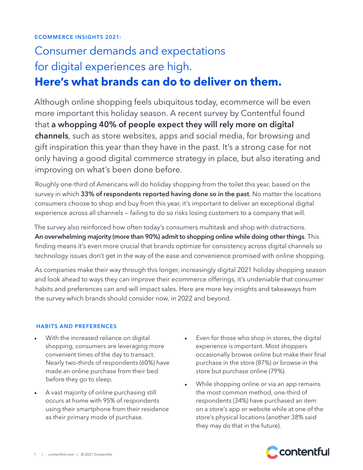# Consumer demands and expectations for digital experiences are high. **Here's what brands can do to deliver on them.**

Although online shopping feels ubiquitous today, ecommerce will be even more important this holiday season. A recent survey by Contentful found that a whopping 40% of people expect they will rely more on digital channels, such as store websites, apps and social media, for browsing and gift inspiration this year than they have in the past. It's a strong case for not only having a good digital commerce strategy in place, but also iterating and improving on what's been done before.

Roughly one-third of Americans will do holiday shopping from the toilet this year, based on the survey in which 33% of respondents reported having done so in the past. No matter the locations consumers choose to shop and buy from this year, it's important to deliver an exceptional digital experience across all channels — failing to do so risks losing customers to a company that will.

The survey also reinforced how often today's consumers multitask and shop with distractions. An overwhelming majority (more than 90%) admit to shopping online while doing other things. This finding means it's even more crucial that brands optimize for consistency across digital channels so technology issues don't get in the way of the ease and convenience promised with online shopping.

As companies make their way through this longer, increasingly digital 2021 holiday shopping season and look ahead to ways they can improve their ecommerce offerings, it's undeniable that consumer habits and preferences can and will impact sales. Here are more key insights and takeaways from the survey which brands should consider now, in 2022 and beyond.

### HABITS AND PREFERENCES

- With the increased reliance on digital shopping, consumers are leveraging more convenient times of the day to transact. Nearly two-thirds of respondents (60%) have made an online purchase from their bed before they go to sleep.
- A vast majority of online purchasing still occurs at home with 95% of respondents using their smartphone from their residence as their primary mode of purchase.
- Even for those who shop in stores, the digital experience is important. Most shoppers occasionally browse online but make their final purchase in the store (87%) or browse in the store but purchase online (79%).
- While shopping online or via an app remains the most common method, one-third of respondents (34%) have purchased an item on a store's app or website while at one of the store's physical locations (another 38% said they may do that in the future).

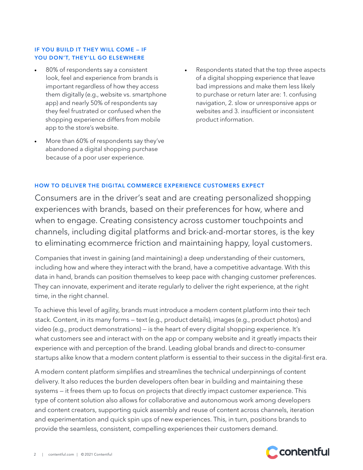#### IF YOU BUILD IT THEY WILL COME — IF YOU DON'T, THEY'LL GO ELSEWHERE

- 80% of respondents say a consistent look, feel and experience from brands is important regardless of how they access them digitally (e.g., website vs. smartphone app) and nearly 50% of respondents say they feel frustrated or confused when the shopping experience differs from mobile app to the store's website.
- More than 60% of respondents say they've abandoned a digital shopping purchase because of a poor user experience.
- Respondents stated that the top three aspects of a digital shopping experience that leave bad impressions and make them less likely to purchase or return later are: 1. confusing navigation, 2. slow or unresponsive apps or websites and 3. insufficient or inconsistent product information.

#### HOW TO DELIVER THE DIGITAL COMMERCE EXPERIENCE CUSTOMERS EXPECT

Consumers are in the driver's seat and are creating personalized shopping experiences with brands, based on their preferences for how, where and when to engage. Creating consistency across customer touchpoints and channels, including digital platforms and brick-and-mortar stores, is the key to eliminating ecommerce friction and maintaining happy, loyal customers.

Companies that invest in gaining (and maintaining) a deep understanding of their customers, including how and where they interact with the brand, have a competitive advantage. With this data in hand, brands can position themselves to keep pace with changing customer preferences. They can innovate, experiment and iterate regularly to deliver the right experience, at the right time, in the right channel.

To achieve this level of agility, brands must introduce a modern content platform into their tech stack. Content, in its many forms — text (e.g., product details), images (e.g., product photos) and video (e.g., product demonstrations) — is the heart of every digital shopping experience. It's what customers see and interact with on the app or company website and it greatly impacts their experience with and perception of the brand. Leading global brands and direct-to-consumer startups alike know that a modern content platform is essential to their success in the digital-first era.

A modern content platform simplifies and streamlines the technical underpinnings of content delivery. It also reduces the burden developers often bear in building and maintaining these systems — it frees them up to focus on projects that directly impact customer experience. This type of content solution also allows for collaborative and autonomous work among developers and content creators, supporting quick assembly and reuse of content across channels, iteration and experimentation and quick spin ups of new experiences. This, in turn, positions brands to provide the seamless, consistent, compelling experiences their customers demand.